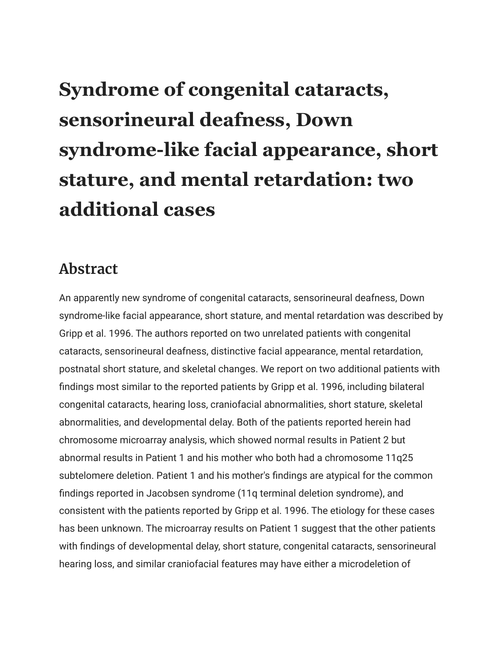## **Syndrome of congenital cataracts, sensorineural deafness, Down syndrome-like facial appearance, short stature, and mental retardation: two additional cases**

## **Abstract**

An apparently new syndrome of congenital cataracts, sensorineural deafness, Down syndrome-like facial appearance, short stature, and mental retardation was described by Gripp et al. 1996. The authors reported on two unrelated patients with congenital cataracts, sensorineural deafness, distinctive facial appearance, mental retardation, postnatal short stature, and skeletal changes. We report on two additional patients with findings most similar to the reported patients by Gripp et al. 1996, including bilateral congenital cataracts, hearing loss, craniofacial abnormalities, short stature, skeletal abnormalities, and developmental delay. Both of the patients reported herein had chromosome microarray analysis, which showed normal results in Patient 2 but abnormal results in Patient 1 and his mother who both had a chromosome 11q25 subtelomere deletion. Patient 1 and his mother's findings are atypical for the common findings reported in Jacobsen syndrome (11q terminal deletion syndrome), and consistent with the patients reported by Gripp et al. 1996. The etiology for these cases has been unknown. The microarray results on Patient 1 suggest that the other patients with findings of developmental delay, short stature, congenital cataracts, sensorineural hearing loss, and similar craniofacial features may have either a microdeletion of